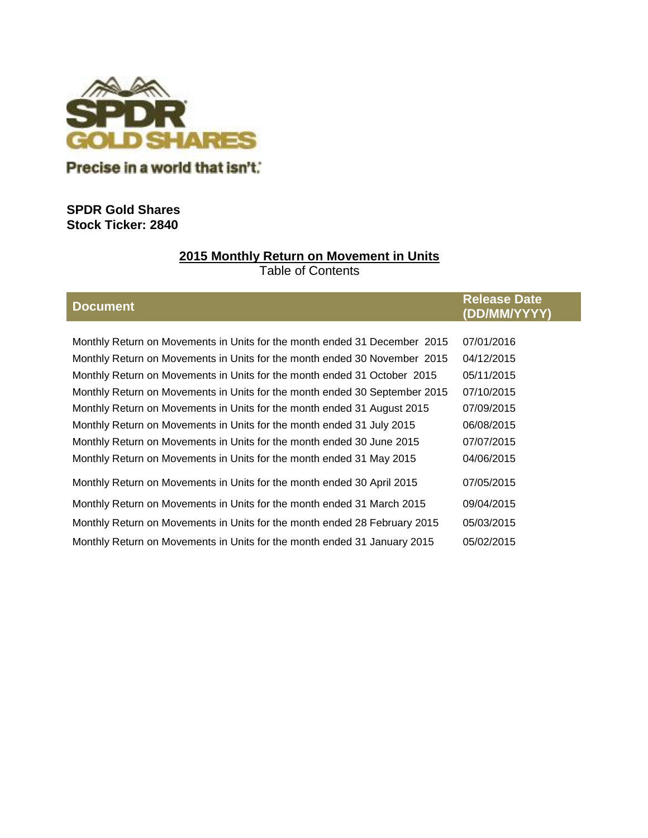

Precise in a world that isn't."

# **SPDR Gold Shares Stock Ticker: 2840**

# **2015 Monthly Return on Movement in Units**

Table of Contents

# **Document Release Date (DD/MM/YYYY)**

| Monthly Return on Movements in Units for the month ended 31 December 2015  | 07/01/2016 |
|----------------------------------------------------------------------------|------------|
| Monthly Return on Movements in Units for the month ended 30 November 2015  | 04/12/2015 |
| Monthly Return on Movements in Units for the month ended 31 October 2015   | 05/11/2015 |
| Monthly Return on Movements in Units for the month ended 30 September 2015 | 07/10/2015 |
| Monthly Return on Movements in Units for the month ended 31 August 2015    | 07/09/2015 |
| Monthly Return on Movements in Units for the month ended 31 July 2015      | 06/08/2015 |
| Monthly Return on Movements in Units for the month ended 30 June 2015      | 07/07/2015 |
| Monthly Return on Movements in Units for the month ended 31 May 2015       | 04/06/2015 |
| Monthly Return on Movements in Units for the month ended 30 April 2015     | 07/05/2015 |
| Monthly Return on Movements in Units for the month ended 31 March 2015     | 09/04/2015 |
| Monthly Return on Movements in Units for the month ended 28 February 2015  | 05/03/2015 |
| Monthly Return on Movements in Units for the month ended 31 January 2015   | 05/02/2015 |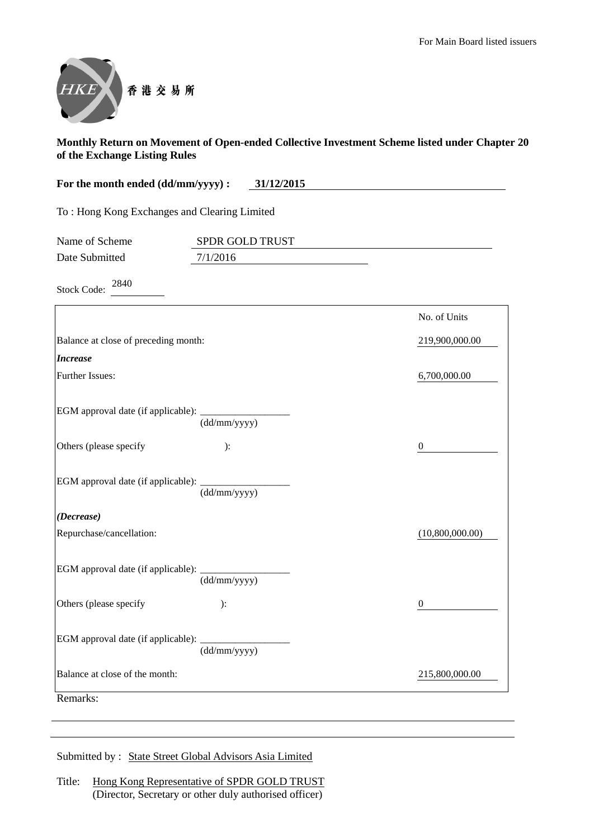

| For the month ended (dd/mm/yyyy) :<br>31/12/2015 |                 |                 |  |
|--------------------------------------------------|-----------------|-----------------|--|
| To: Hong Kong Exchanges and Clearing Limited     |                 |                 |  |
| Name of Scheme                                   | SPDR GOLD TRUST |                 |  |
| Date Submitted                                   | 7/1/2016        |                 |  |
| 2840<br><b>Stock Code:</b>                       |                 |                 |  |
|                                                  |                 | No. of Units    |  |
| Balance at close of preceding month:             |                 | 219,900,000.00  |  |
| <b>Increase</b>                                  |                 |                 |  |
| Further Issues:                                  |                 | 6,700,000.00    |  |
|                                                  | (dd/mm/yyyy)    |                 |  |
| Others (please specify                           | ):              | 0               |  |
| EGM approval date (if applicable):               | (dd/mm/yyyy)    |                 |  |
| (Decrease)                                       |                 |                 |  |
| Repurchase/cancellation:                         |                 | (10,800,000.00) |  |
| EGM approval date (if applicable):               | (dd/mm/yyyy)    |                 |  |
| Others (please specify                           | ):              | $\theta$        |  |
| EGM approval date (if applicable):               |                 |                 |  |

Balance at close of the month: 215,800,000.00

Remarks:

Submitted by : State Street Global Advisors Asia Limited

(dd/mm/yyyy)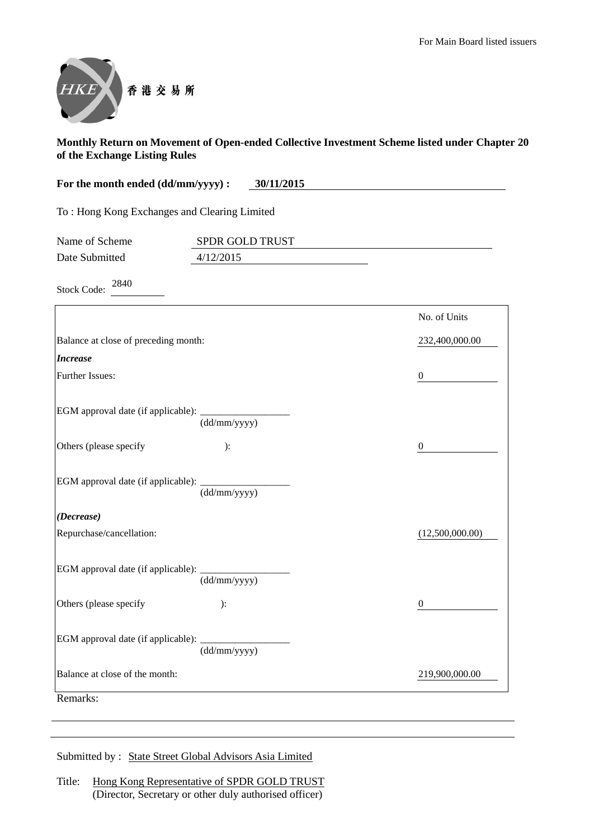

| For the month ended (dd/mm/yyyy) : | 30/11/2015 |
|------------------------------------|------------|
|                                    |            |
|                                    |            |

To : Hong Kong Exchanges and Clearing Limited

| Name of Scheme | <b>SPDR GOLD TRUST</b> |
|----------------|------------------------|
| Date Submitted | 4/12/2015              |

Stock Code: 2840

|                                                             |              | No. of Units     |
|-------------------------------------------------------------|--------------|------------------|
| Balance at close of preceding month:                        |              | 232,400,000.00   |
| <b>Increase</b>                                             |              |                  |
| <b>Further Issues:</b>                                      |              | $\mathbf{0}$     |
|                                                             |              |                  |
| EGM approval date (if applicable): $\frac{1}{(dd/mm/yyyy)}$ |              |                  |
| Others (please specify                                      | ):           | $\boldsymbol{0}$ |
|                                                             |              |                  |
|                                                             | (dd/mm/yyyy) |                  |
| (Decrease)                                                  |              |                  |
| Repurchase/cancellation:                                    |              | (12,500,000.00)  |
|                                                             |              |                  |
|                                                             | (dd/mm/yyyy) |                  |
| Others (please specify                                      | $\cdot$      | $\overline{0}$   |
|                                                             | (dd/mm/vyyy) |                  |
| Balance at close of the month:                              |              | 219,900,000.00   |
| Remarks:                                                    |              |                  |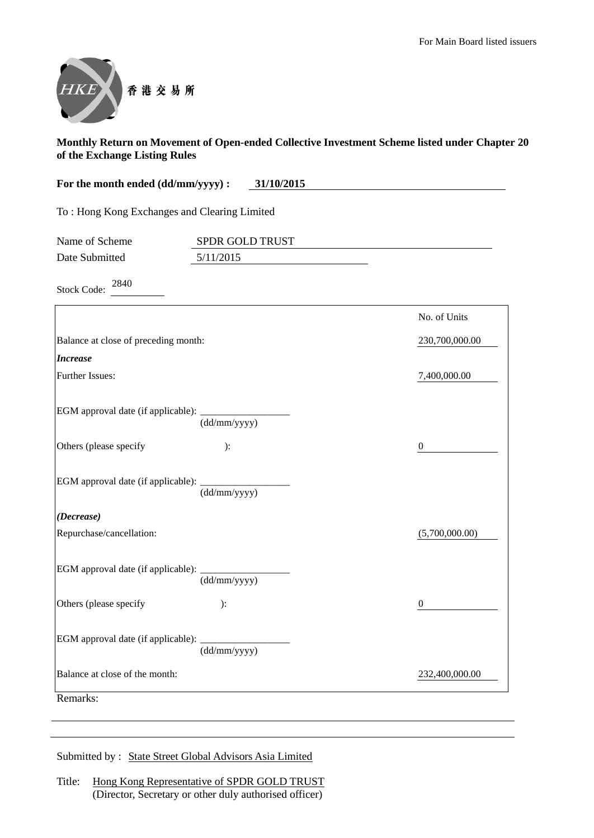

| For the month ended (dd/mm/yyyy) :<br>31/10/2015 |                 |                |
|--------------------------------------------------|-----------------|----------------|
| To: Hong Kong Exchanges and Clearing Limited     |                 |                |
| Name of Scheme                                   | SPDR GOLD TRUST |                |
| Date Submitted<br>2840                           | 5/11/2015       |                |
| <b>Stock Code:</b>                               |                 |                |
|                                                  |                 | No. of Units   |
| Balance at close of preceding month:             |                 | 230,700,000.00 |
| <b>Increase</b>                                  |                 |                |
| Further Issues:                                  |                 | 7,400,000.00   |
|                                                  | (dd/mm/yyyy)    |                |
| Others (please specify                           | ):              | 0              |
|                                                  | (dd/mm/yyyy)    |                |
| (Decrease)                                       |                 | (F.700.000.00) |

| Repurchase/cancellation:                  |              | (5,700,000.00) |
|-------------------------------------------|--------------|----------------|
| <b>EGM</b> approval date (if applicable): | (dd/mm/yyyy) |                |
| Others (please specify)                   | ):           | 0              |
| EGM approval date (if applicable): ___    | (dd/mm/yyyy) |                |
| Balance at close of the month:            |              | 232,400,000.00 |
| Remarks:                                  |              |                |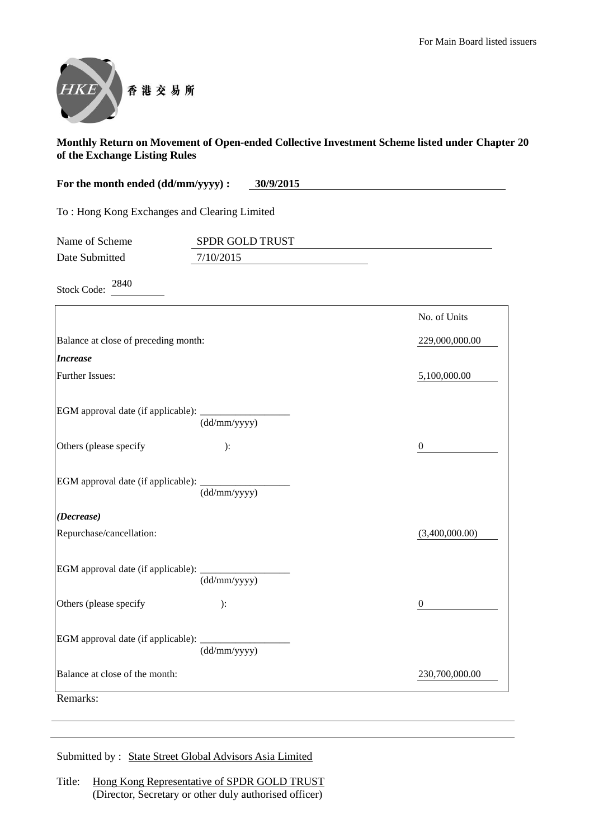

| For the month ended (dd/mm/yyyy) :   | 30/9/2015                                    |                |
|--------------------------------------|----------------------------------------------|----------------|
|                                      | To: Hong Kong Exchanges and Clearing Limited |                |
| Name of Scheme                       | <b>SPDR GOLD TRUST</b>                       |                |
| Date Submitted                       | 7/10/2015                                    |                |
| 2840<br><b>Stock Code:</b>           |                                              |                |
|                                      |                                              | No. of Units   |
| Balance at close of preceding month: |                                              | 229,000,000.00 |
| $\mathbf{I}$ nanaga                  |                                              |                |

| <b>Increase</b>                                             |              |                |
|-------------------------------------------------------------|--------------|----------------|
| Further Issues:                                             |              | 5,100,000.00   |
| EGM approval date (if applicable): $\frac{1}{(dd/mm/yyyy)}$ |              |                |
| Others (please specify                                      | ):           | $\Omega$       |
| EGM approval date (if applicable): ___________              | (dd/mm/yyyy) |                |
| (Decrease)                                                  |              |                |
| Repurchase/cancellation:                                    |              | (3,400,000.00) |
| EGM approval date (if applicable): _________                | (dd/mm/yyyy) |                |
| Others (please specify                                      | ):           | $\theta$       |
| EGM approval date (if applicable):                          | (dd/mm/yyyy) |                |
| Balance at close of the month:                              |              | 230,700,000.00 |
| Remarks:                                                    |              |                |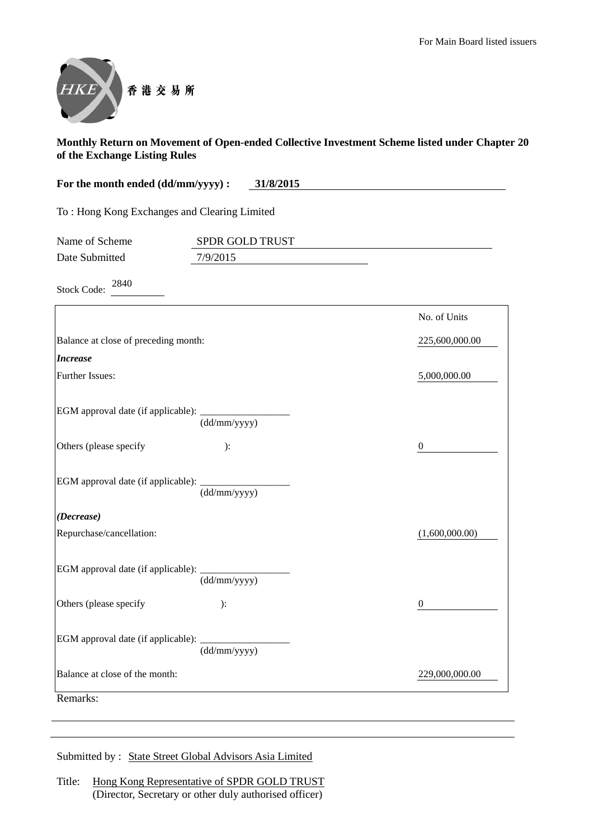

| For the month ended (dd/mm/yyyy) :<br>31/8/2015 |                 |                |
|-------------------------------------------------|-----------------|----------------|
| To: Hong Kong Exchanges and Clearing Limited    |                 |                |
| Name of Scheme                                  | SPDR GOLD TRUST |                |
| Date Submitted                                  | 7/9/2015        |                |
| 2840<br><b>Stock Code:</b>                      |                 |                |
|                                                 |                 | No. of Units   |
| Balance at close of preceding month:            |                 | 225,600,000.00 |
| <b>Increase</b>                                 |                 |                |
| <b>Further Issues:</b>                          |                 | 5,000,000.00   |
|                                                 | (dd/mm/yyyy)    |                |
| Others (please specify                          | ):              | $\theta$       |
| EGM approval date (if applicable):              | (dd/mm/yyyy)    |                |
| (Decrease)                                      |                 |                |
| Repurchase/cancellation:                        |                 | (1,600,000.00) |
| EGM approval date (if applicable): _________    | (dd/mm/yyyy)    |                |
| Others (please specify                          | ):              | $\theta$       |
|                                                 |                 |                |

EGM approval date (if applicable): \_\_\_\_\_\_\_\_\_\_\_\_\_\_\_\_\_\_ (dd/mm/yyyy) Balance at close of the month: 229,000,000.00 229,000,000.00 Remarks: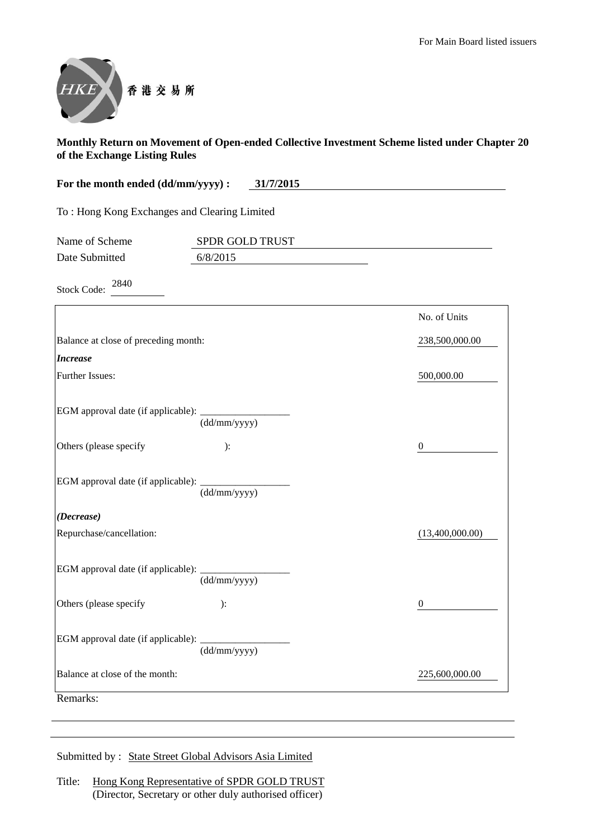

| For the month ended (dd/mm/yyyy) :            | 31/7/2015       |                  |
|-----------------------------------------------|-----------------|------------------|
| To: Hong Kong Exchanges and Clearing Limited  |                 |                  |
| Name of Scheme                                | SPDR GOLD TRUST |                  |
| Date Submitted                                | 6/8/2015        |                  |
| 2840<br><b>Stock Code:</b>                    |                 |                  |
|                                               |                 | No. of Units     |
| Balance at close of preceding month:          |                 | 238,500,000.00   |
| <b>Increase</b>                               |                 |                  |
| Further Issues:                               |                 | 500,000.00       |
| EGM approval date (if applicable):            | (dd/mm/yyyy)    |                  |
| Others (please specify                        | ):              | $\theta$         |
| EGM approval date (if applicable):            | (dd/mm/yyyy)    |                  |
| (Decrease)                                    |                 |                  |
| Repurchase/cancellation:                      |                 | (13,400,000.00)  |
| EGM approval date (if applicable): __________ | (dd/mm/yyyy)    |                  |
| Others (please specify                        | ):              | $\boldsymbol{0}$ |
| EGM approval date (if applicable):            | (dd/mm/yyyy)    |                  |
| Balance at close of the month:                |                 | 225,600,000.00   |

Remarks: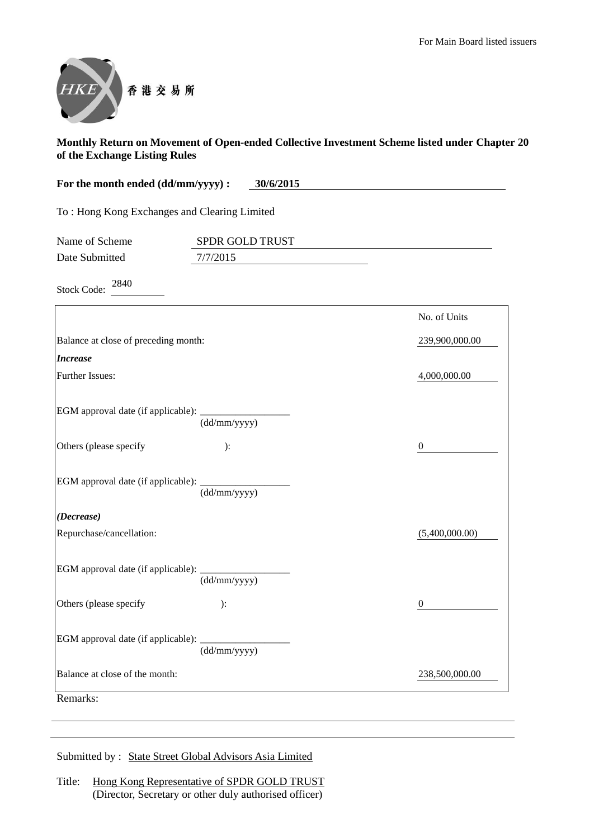

| 30/6/2015<br>For the month ended (dd/mm/yyyy) : |                                              |                |
|-------------------------------------------------|----------------------------------------------|----------------|
|                                                 | To: Hong Kong Exchanges and Clearing Limited |                |
| Name of Scheme                                  | SPDR GOLD TRUST                              |                |
| Date Submitted                                  | 7/7/2015                                     |                |
| 2840<br><b>Stock Code:</b>                      |                                              |                |
|                                                 |                                              | No. of Units   |
| Balance at close of preceding month:            |                                              | 239,900,000.00 |
| <i><b>Increase</b></i>                          |                                              |                |
| <b>Further Issues:</b>                          |                                              | 4,000,000.00   |
| EGM approval date (if applicable):              |                                              |                |

| EGM approval date (if applicable): $\frac{1}{(dd/mm/yyyy)}$ |              |                |
|-------------------------------------------------------------|--------------|----------------|
| Others (please specify                                      | ):           | $\Omega$       |
| EGM approval date (if applicable): (dd/mm/yyyy)             |              |                |
|                                                             |              |                |
| (Decrease)                                                  |              |                |
| Repurchase/cancellation:                                    |              | (5,400,000.00) |
|                                                             |              |                |
|                                                             | (dd/mm/yyyy) |                |
| Others (please specify                                      | $\cdot$      | $\theta$       |
| EGM approval date (if applicable): ___________              |              |                |
|                                                             | (dd/mm/yyyy) |                |
| Balance at close of the month:                              |              | 238,500,000.00 |
| Remarks:                                                    |              |                |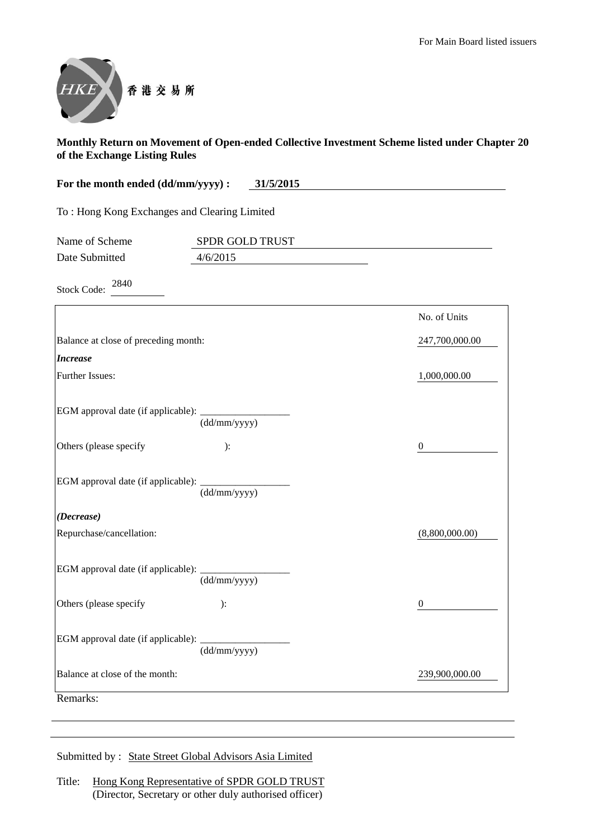

| For the month ended (dd/mm/yyyy) :<br>31/5/2015 |                 |                |
|-------------------------------------------------|-----------------|----------------|
| To: Hong Kong Exchanges and Clearing Limited    |                 |                |
| Name of Scheme                                  | SPDR GOLD TRUST |                |
| Date Submitted                                  | 4/6/2015        |                |
| 2840<br><b>Stock Code:</b>                      |                 |                |
|                                                 |                 | No. of Units   |
| Balance at close of preceding month:            |                 | 247,700,000.00 |
| <b>Increase</b>                                 |                 |                |
| Further Issues:                                 |                 | 1,000,000.00   |
| EGM approval date (if applicable):              | (dd/mm/yyyy)    |                |
| Others (please specify                          | $\mathcal{E}$ : | $\theta$       |
| EGM approval date (if applicable): _________    | (dd/mm/yyyy)    |                |
| (Decrease)                                      |                 |                |
| Repurchase/cancellation:                        |                 | (8,800,000.00) |
| EGM approval date (if applicable): ________     | (dd/mm/yyyy)    |                |
| Others (please specify                          | $\mathcal{E}$   | $\theta$       |
| EGM approval date (if applicable):              | (dd/mm/yyyy)    |                |
| Balance at close of the month:                  |                 | 239,900,000.00 |

Remarks: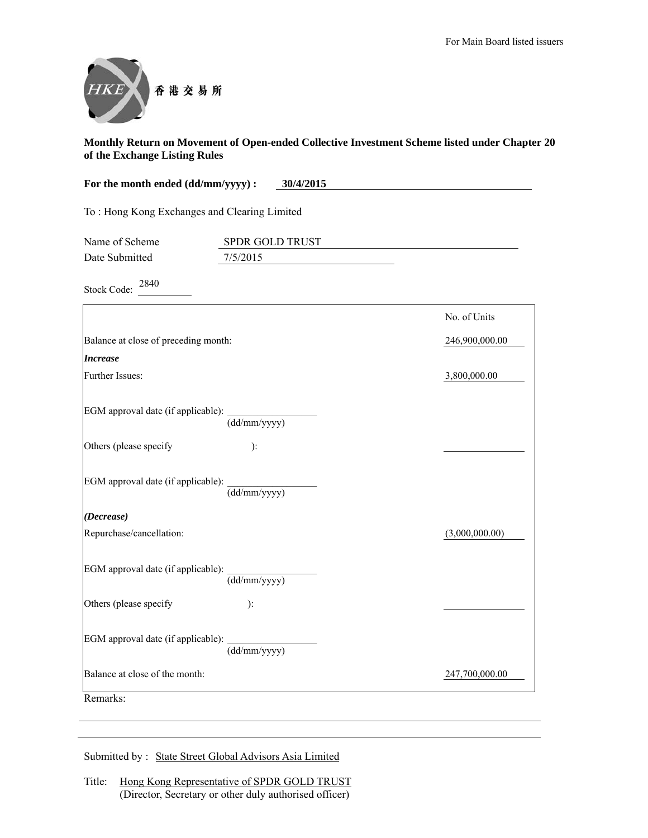

| For the month ended (dd/mm/yyyy) :<br>30/4/2015 |                                  |                |
|-------------------------------------------------|----------------------------------|----------------|
| To: Hong Kong Exchanges and Clearing Limited    |                                  |                |
| Name of Scheme                                  | SPDR GOLD TRUST                  |                |
| Date Submitted                                  | 7/5/2015                         |                |
| 2840<br><b>Stock Code:</b>                      |                                  |                |
|                                                 |                                  | No. of Units   |
| Balance at close of preceding month:            |                                  | 246,900,000.00 |
| <b>Increase</b>                                 |                                  |                |
| Further Issues:                                 |                                  | 3,800,000.00   |
| EGM approval date (if applicable):              | $\overline{\text{(dd/mm/yyyy)}}$ |                |
| Others (please specify                          | $\mathbf{).}$                    |                |
| EGM approval date (if applicable):              | $\overline{\text{(dd/mm/yyyy)}}$ |                |
| (Decrease)                                      |                                  |                |
| Repurchase/cancellation:                        |                                  | (3,000,000.00) |
| EGM approval date (if applicable):              | $\overline{\text{(dd/mm/yyyy)}}$ |                |
| Others (please specify                          | $\mathbf{E}$                     |                |
| EGM approval date (if applicable):              | (dd/mm/yyyy)                     |                |
| Balance at close of the month:                  |                                  | 247,700,000.00 |
| Remarks:                                        |                                  |                |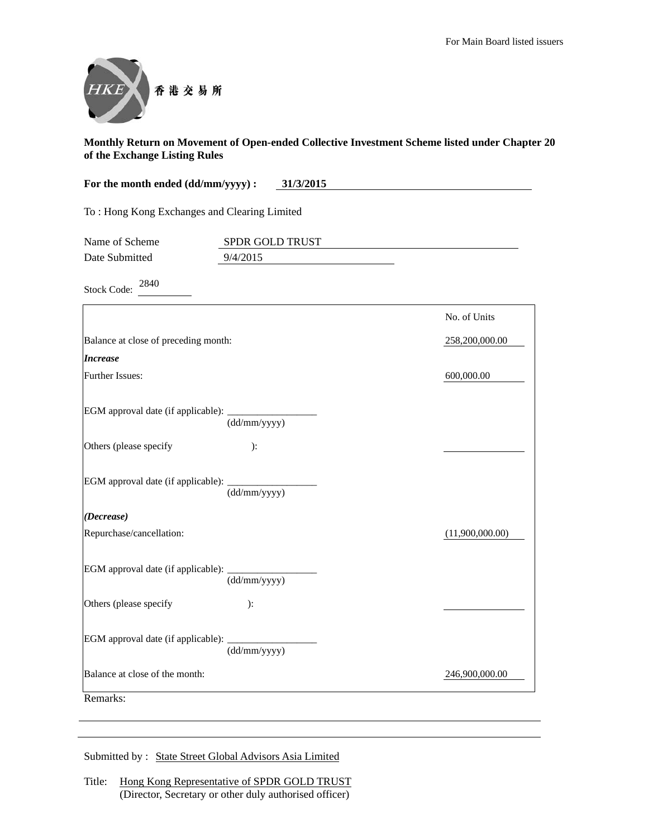

| For the month ended (dd/mm/yyyy) :<br>31/3/2015 |                 |                 |
|-------------------------------------------------|-----------------|-----------------|
| To: Hong Kong Exchanges and Clearing Limited    |                 |                 |
| Name of Scheme                                  | SPDR GOLD TRUST |                 |
| Date Submitted                                  | 9/4/2015        |                 |
| 2840<br><b>Stock Code:</b>                      |                 |                 |
|                                                 |                 | No. of Units    |
| Balance at close of preceding month:            |                 | 258,200,000.00  |
| <b>Increase</b>                                 |                 |                 |
| Further Issues:                                 |                 | 600,000.00      |
| EGM approval date (if applicable):              | (dd/mm/yyyy)    |                 |
| Others (please specify                          | ):              |                 |
| EGM approval date (if applicable):              | (dd/mm/yyyy)    |                 |
| (Decrease)                                      |                 |                 |
| Repurchase/cancellation:                        |                 | (11,900,000.00) |
| EGM approval date (if applicable):              | (dd/mm/yyyy)    |                 |
| Others (please specify                          | ):              |                 |
| EGM approval date (if applicable):              | (dd/mm/yyyy)    |                 |
| Balance at close of the month:                  |                 | 246,900,000.00  |
| Remarks:                                        |                 |                 |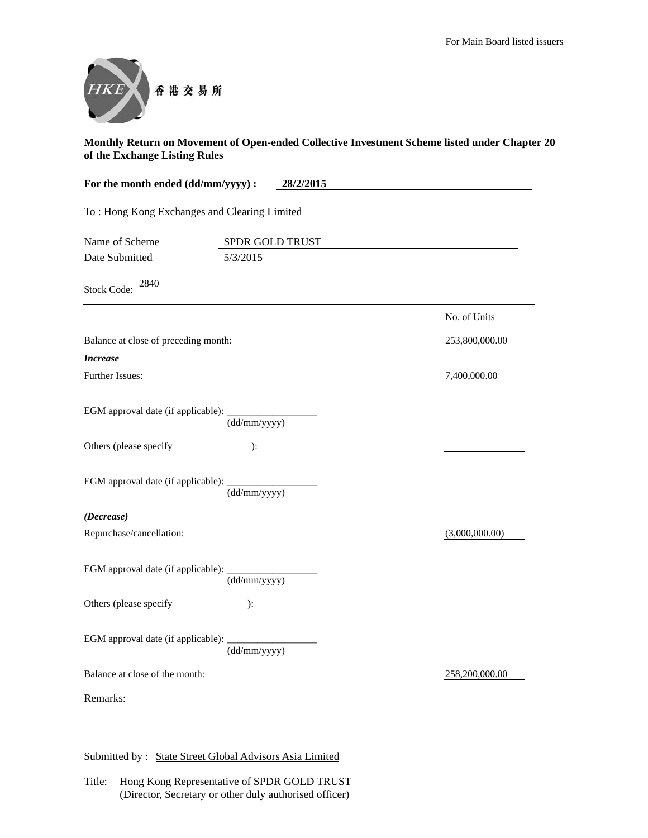

| For the month ended (dd/mm/yyyy) :<br>28/2/2015 |                 |                |
|-------------------------------------------------|-----------------|----------------|
| To: Hong Kong Exchanges and Clearing Limited    |                 |                |
| Name of Scheme                                  | SPDR GOLD TRUST |                |
| Date Submitted                                  | 5/3/2015        |                |
| 2840<br><b>Stock Code:</b>                      |                 |                |
|                                                 |                 | No. of Units   |
| Balance at close of preceding month:            |                 | 253,800,000.00 |
| <b>Increase</b>                                 |                 |                |
| Further Issues:                                 |                 | 7,400,000.00   |
| EGM approval date (if applicable):              | (dd/mm/yyyy)    |                |
| Others (please specify                          | ):              |                |
| EGM approval date (if applicable):              | (dd/mm/yyyy)    |                |
| (Decrease)                                      |                 |                |
| Repurchase/cancellation:                        |                 | (3,000,000.00) |
| EGM approval date (if applicable):              | (dd/mm/yyyy)    |                |
| Others (please specify                          | ):              |                |
| EGM approval date (if applicable):              | (dd/mm/yyyy)    |                |
| Balance at close of the month:                  |                 | 258,200,000.00 |
| Remarks:                                        |                 |                |